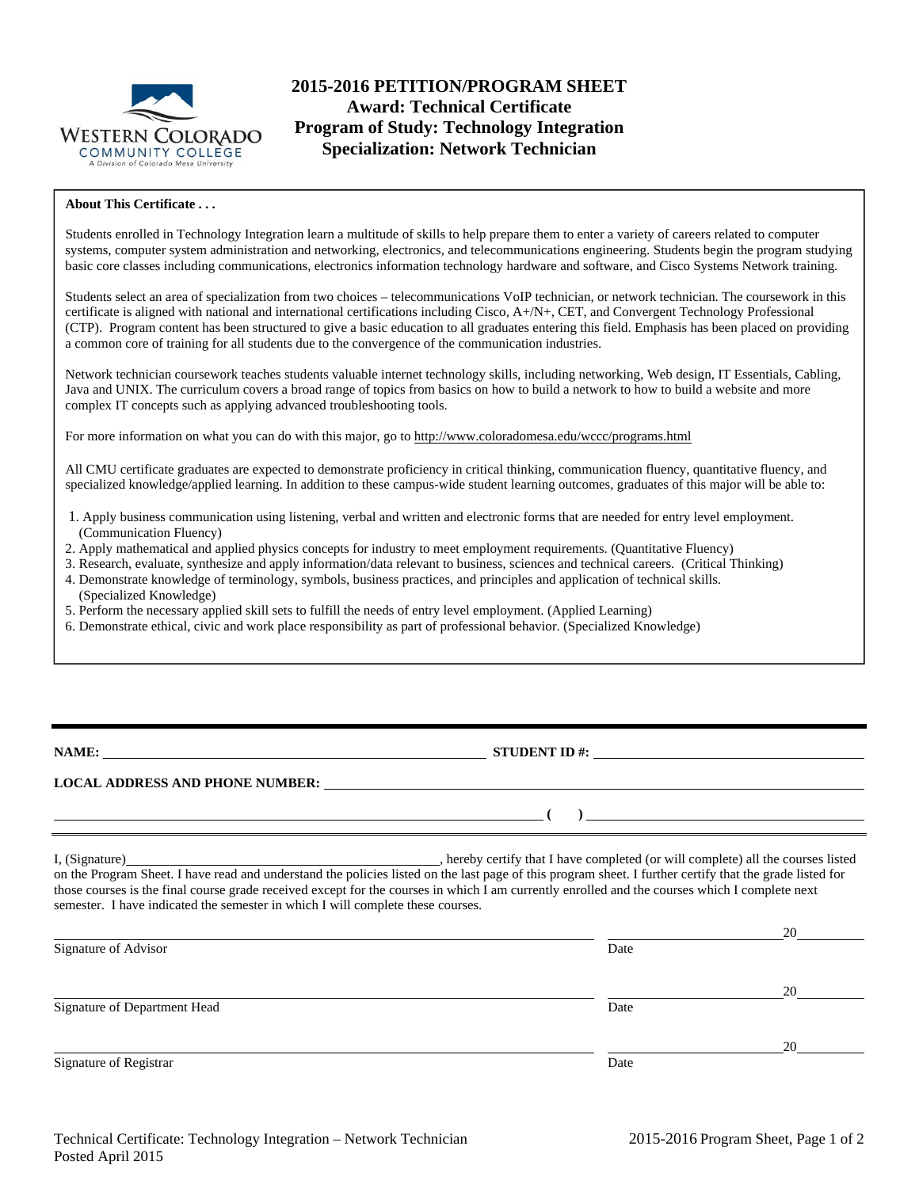

# **2015-2016 PETITION/PROGRAM SHEET Award: Technical Certificate Program of Study: Technology Integration Specialization: Network Technician**

### **About This Certificate . . .**

Students enrolled in Technology Integration learn a multitude of skills to help prepare them to enter a variety of careers related to computer systems, computer system administration and networking, electronics, and telecommunications engineering. Students begin the program studying basic core classes including communications, electronics information technology hardware and software, and Cisco Systems Network training.

Students select an area of specialization from two choices – telecommunications VoIP technician, or network technician. The coursework in this certificate is aligned with national and international certifications including Cisco, A+/N+, CET, and Convergent Technology Professional (CTP). Program content has been structured to give a basic education to all graduates entering this field. Emphasis has been placed on providing a common core of training for all students due to the convergence of the communication industries.

Network technician coursework teaches students valuable internet technology skills, including networking, Web design, IT Essentials, Cabling, Java and UNIX. The curriculum covers a broad range of topics from basics on how to build a network to how to build a website and more complex IT concepts such as applying advanced troubleshooting tools.

For more information on what you can do with this major, go to http://www.coloradomesa.edu/wccc/programs.html

All CMU certificate graduates are expected to demonstrate proficiency in critical thinking, communication fluency, quantitative fluency, and specialized knowledge/applied learning. In addition to these campus-wide student learning outcomes, graduates of this major will be able to:

- 1. Apply business communication using listening, verbal and written and electronic forms that are needed for entry level employment. (Communication Fluency)
- 2. Apply mathematical and applied physics concepts for industry to meet employment requirements. (Quantitative Fluency)
- 3. Research, evaluate, synthesize and apply information/data relevant to business, sciences and technical careers. (Critical Thinking)
- 4. Demonstrate knowledge of terminology, symbols, business practices, and principles and application of technical skills.
- (Specialized Knowledge)
- 5. Perform the necessary applied skill sets to fulfill the needs of entry level employment. (Applied Learning)
- 6. Demonstrate ethical, civic and work place responsibility as part of professional behavior. (Specialized Knowledge)

**NAME:** STUDENT ID #:

 **( )** 

## **LOCAL ADDRESS AND PHONE NUMBER:**

I, (Signature) , hereby certify that I have completed (or will complete) all the courses listed on the Program Sheet. I have read and understand the policies listed on the last page of this program sheet. I further certify that the grade listed for those courses is the final course grade received except for the courses in which I am currently enrolled and the courses which I complete next semester. I have indicated the semester in which I will complete these courses.

|                              |      | 20 |
|------------------------------|------|----|
| Signature of Advisor         | Date |    |
|                              |      | 20 |
| Signature of Department Head | Date |    |
|                              |      | 20 |
| Signature of Registrar       | Date |    |